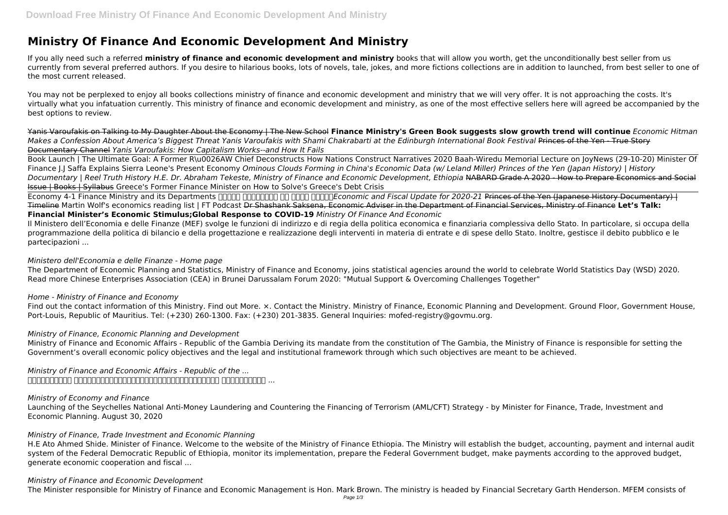# **Ministry Of Finance And Economic Development And Ministry**

If you ally need such a referred **ministry of finance and economic development and ministry** books that will allow you worth, get the unconditionally best seller from us currently from several preferred authors. If you desire to hilarious books, lots of novels, tale, jokes, and more fictions collections are in addition to launched, from best seller to one of the most current released.

You may not be perplexed to enjoy all books collections ministry of finance and economic development and ministry that we will very offer. It is not approaching the costs. It's virtually what you infatuation currently. This ministry of finance and economic development and ministry, as one of the most effective sellers here will agreed be accompanied by the best options to review.

Yanis Varoufakis on Talking to My Daughter About the Economy | The New School **Finance Ministry's Green Book suggests slow growth trend will continue** *Economic Hitman Makes a Confession About America's Biggest Threat Yanis Varoufakis with Shami Chakrabarti at the Edinburgh International Book Festival* Princes of the Yen - True Story Documentary Channel *Yanis Varoufakis: How Capitalism Works--and How It Fails*

Economy 4-1 Finance Ministry and its Departments **FRIPER THE FIREFT ATTED ATTED THE THE AND THE AND THE ART AND THE SETT** OF 2020-21 Princes of the Yen (Japanese History Documentary) | Timeline Martin Wolf's economics reading list | FT Podcast Dr Shashank Saksena, Economic Adviser in the Department of Financial Services, Ministry of Finance **Let's Talk: Financial Minister's Economic Stimulus;Global Response to COVID-19** *Ministry Of Finance And Economic*

Book Launch | The Ultimate Goal: A Former R\u0026AW Chief Deconstructs How Nations Construct Narratives 2020 Baah-Wiredu Memorial Lecture on JoyNews (29-10-20) Minister Of Finance J.J Saffa Explains Sierra Leone's Present Economy *Ominous Clouds Forming in China's Economic Data (w/ Leland Miller) Princes of the Yen (Japan History) | History* Documentary | Reel Truth History H.E. Dr. Abraham Tekeste, Ministry of Finance and Economic Development, Ethiopia NABARD Grade A 2020 - How to Prepare Economics and Social Issue | Books | Syllabus Greece's Former Finance Minister on How to Solve's Greece's Debt Crisis

*Ministry of Finance and Economic Affairs - Republic of the ...*  $\Box$ បានដាក់ចេញកម្រាយ បានដាក់ចេញក្រុមជាជាមួយគ្នាបានជាបានបានជាបានបានដឹងអូចគ្នាបានដុល្លារ ...

Il Ministero dell'Economia e delle Finanze (MEF) svolge le funzioni di indirizzo e di regia della politica economica e finanziaria complessiva dello Stato. In particolare, si occupa della programmazione della politica di bilancio e della progettazione e realizzazione degli interventi in materia di entrate e di spese dello Stato. Inoltre, gestisce il debito pubblico e le partecipazioni ...

### *Ministero dell'Economia e delle Finanze - Home page*

The Department of Economic Planning and Statistics, Ministry of Finance and Economy, joins statistical agencies around the world to celebrate World Statistics Day (WSD) 2020. Read more Chinese Enterprises Association (CEA) in Brunei Darussalam Forum 2020: "Mutual Support & Overcoming Challenges Together"

## *Home - Ministry of Finance and Economy*

Find out the contact information of this Ministry. Find out More. ×. Contact the Ministry. Ministry of Finance, Economic Planning and Development. Ground Floor, Government House, Port-Louis, Republic of Mauritius. Tel: (+230) 260-1300. Fax: (+230) 201-3835. General Inquiries: mofed-registry@govmu.org.

## *Ministry of Finance, Economic Planning and Development*

Ministry of Finance and Economic Affairs - Republic of the Gambia Deriving its mandate from the constitution of The Gambia, the Ministry of Finance is responsible for setting the Government's overall economic policy objectives and the legal and institutional framework through which such objectives are meant to be achieved.

#### *Ministry of Economy and Finance*

Launching of the Seychelles National Anti-Money Laundering and Countering the Financing of Terrorism (AML/CFT) Strategy - by Minister for Finance, Trade, Investment and Economic Planning. August 30, 2020

#### *Ministry of Finance, Trade Investment and Economic Planning*

H.E Ato Ahmed Shide. Minister of Finance. Welcome to the website of the Ministry of Finance Ethiopia. The Ministry will establish the budget, accounting, payment and internal audit system of the Federal Democratic Republic of Ethiopia, monitor its implementation, prepare the Federal Government budget, make payments according to the approved budget, generate economic cooperation and fiscal ...

#### *Ministry of Finance and Economic Development*

The Minister responsible for Ministry of Finance and Economic Management is Hon. Mark Brown. The ministry is headed by Financial Secretary Garth Henderson. MFEM consists of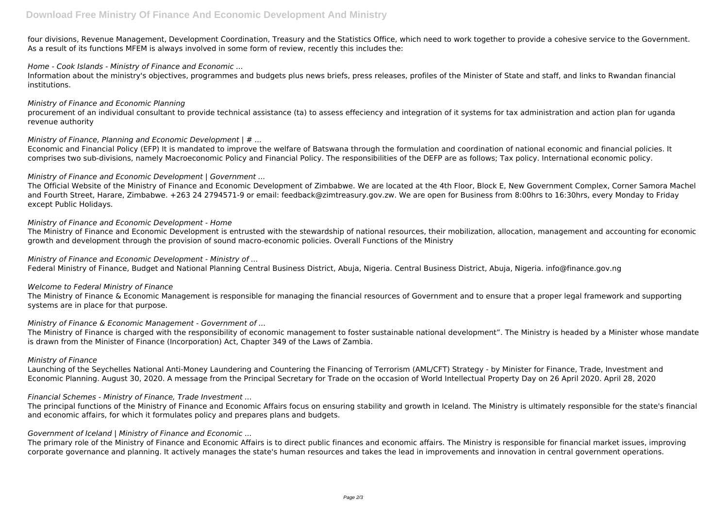four divisions, Revenue Management, Development Coordination, Treasury and the Statistics Office, which need to work together to provide a cohesive service to the Government. As a result of its functions MFEM is always involved in some form of review, recently this includes the:

#### *Home - Cook Islands - Ministry of Finance and Economic ...*

Information about the ministry's objectives, programmes and budgets plus news briefs, press releases, profiles of the Minister of State and staff, and links to Rwandan financial institutions.

#### *Ministry of Finance and Economic Planning*

procurement of an individual consultant to provide technical assistance (ta) to assess effeciency and integration of it systems for tax administration and action plan for uganda revenue authority

#### *Ministry of Finance, Planning and Economic Development | # ...*

Economic and Financial Policy (EFP) It is mandated to improve the welfare of Batswana through the formulation and coordination of national economic and financial policies. It comprises two sub-divisions, namely Macroeconomic Policy and Financial Policy. The responsibilities of the DEFP are as follows; Tax policy. International economic policy.

#### *Ministry of Finance and Economic Development | Government ...*

The Official Website of the Ministry of Finance and Economic Development of Zimbabwe. We are located at the 4th Floor, Block E, New Government Complex, Corner Samora Machel and Fourth Street, Harare, Zimbabwe. +263 24 2794571-9 or email: feedback@zimtreasury.gov.zw. We are open for Business from 8:00hrs to 16:30hrs, every Monday to Friday except Public Holidays.

#### *Ministry of Finance and Economic Development - Home*

The Ministry of Finance and Economic Development is entrusted with the stewardship of national resources, their mobilization, allocation, management and accounting for economic growth and development through the provision of sound macro-economic policies. Overall Functions of the Ministry

#### *Ministry of Finance and Economic Development - Ministry of ...*

Federal Ministry of Finance, Budget and National Planning Central Business District, Abuja, Nigeria. Central Business District, Abuja, Nigeria. info@finance.gov.ng

#### *Welcome to Federal Ministry of Finance*

The Ministry of Finance & Economic Management is responsible for managing the financial resources of Government and to ensure that a proper legal framework and supporting systems are in place for that purpose.

#### *Ministry of Finance & Economic Management - Government of ...*

The Ministry of Finance is charged with the responsibility of economic management to foster sustainable national development". The Ministry is headed by a Minister whose mandate is drawn from the Minister of Finance (Incorporation) Act, Chapter 349 of the Laws of Zambia.

#### *Ministry of Finance*

Launching of the Seychelles National Anti-Money Laundering and Countering the Financing of Terrorism (AML/CFT) Strategy - by Minister for Finance, Trade, Investment and Economic Planning. August 30, 2020. A message from the Principal Secretary for Trade on the occasion of World Intellectual Property Day on 26 April 2020. April 28, 2020

#### *Financial Schemes - Ministry of Finance, Trade Investment ...*

The principal functions of the Ministry of Finance and Economic Affairs focus on ensuring stability and growth in Iceland. The Ministry is ultimately responsible for the state's financial and economic affairs, for which it formulates policy and prepares plans and budgets.

#### *Government of Iceland | Ministry of Finance and Economic ...*

The primary role of the Ministry of Finance and Economic Affairs is to direct public finances and economic affairs. The Ministry is responsible for financial market issues, improving corporate governance and planning. It actively manages the state's human resources and takes the lead in improvements and innovation in central government operations.